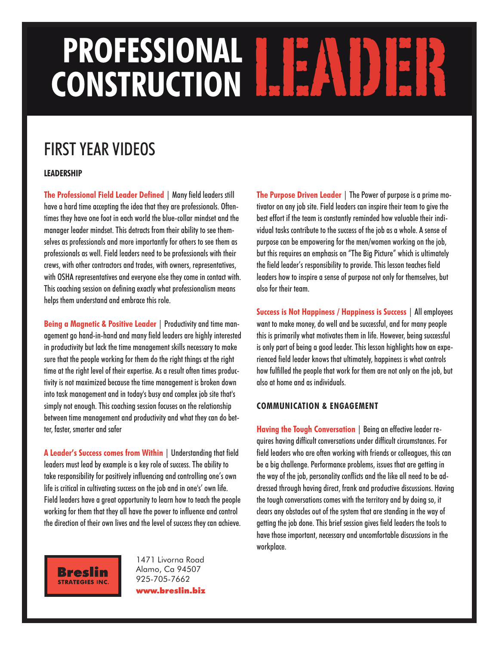# PROFESSIONAL **LEADER**

### FIRSTYEAR VIDEOS

#### **LEADERSHIP**

**The Professional Field Leader Defined** | Many fieldleaders still have a hard time accepting the idea that they are professionals. Oftentimes they have one foot in each world the blue-collar mindset and the manager leader mindset. This detracts from their ability to see themselves as professionals and more importantly for others to see them as professionals as well. Field leaders need to be professionals with their crews, with other contractors and trades, with owners, representatives, with OSHA representatives and everyone else they come in contact with. This coaching session on defining exactly what professionalism means helps them understand and embrace this role.

**Being a Magnetic & Positive Leader** | Productivity and time management go hand-in-hand and many field leaders are highly interested in productivity but lack the time management skills necessary to make sure that the people working for them do the right things at the right time at the right level of their expertise. As a result often times productivity is not maximized because the time management is broken down into task management and in today's busy and complex job site that's simply not enough. This coaching session focuses on the relationship between time management and productivity and what they can do better, faster, smarter and safer

**A Leader's Success comes from Within** | Understandingthat field leaders must lead by example is a key role of success. The ability to take responsibility for positively influencing and controlling one's own life is critical in cultivating success on the job and in one's' own life. Field leaders have a great opportunity to learn how to teach the people working for them that they all have the power to influence and control the direction of their own lives and the level of success they can achieve.

1471 Livorna Road Alamo, Ca 94507 925-705-7662 **www.breslin.biz** **The Purpose Driven Leader** | The Power of purpose is a prime motivator on any job site. Field leaders can inspire their team to give the best effort if the team is constantly reminded how valuable their individual tasks contribute to the success of the job as a whole. A sense of purpose can be empowering for the men/women working on the job, but this requires an emphasis on "The Big Picture" which is ultimately the field leader's responsibility to provide. This lesson teaches field leaders how to inspire a sense of purpose not only for themselves, but alsofor their team.

**Success is Not Happiness / Happiness is Success** | All employees want to make money, do well and be successful, and for many people this is primarily what motivates them in life. However, being successful is only part of being a good leader. This lesson highlights how an experienced field leader knows that ultimately, happiness is what controls how fulfilled the people that work for them are not only on the job, but alsoathomeandas individuals.

#### **COMMUNICATION & ENGAGEMENT**

**Having the Tough Conversation** | Beinganeffective leader requires having difficult conversations under difficult circumstances. For field leaders who are often working with friends or colleagues, this can be a big challenge. Performance problems, issues that are getting in the way of the job, personality conflicts and the like all need to be addressed through having direct, frank and productive discussions. Having the tough conversations comes with the territory and by doing so, it clears any obstacles out of the system that are standing in the way of getting the job done. This brief session gives field leaders the tools to have those important, necessary and uncomfortable discussions in the workplace.

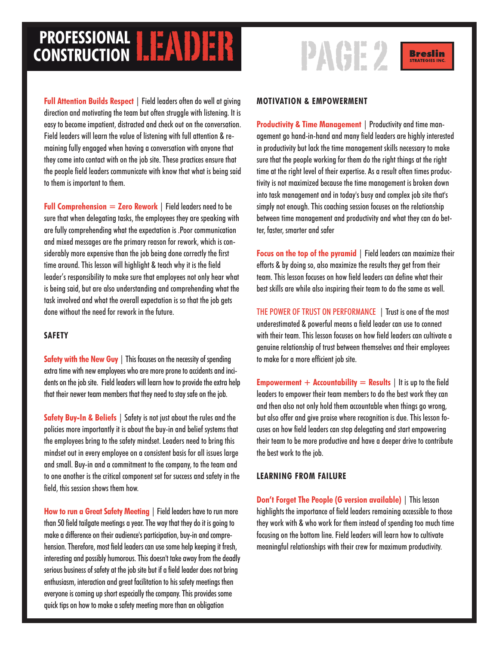## **PROFESSIONAL LEADER**<br> **CONSTRUCTION**

**Full Attention Builds Respect** | Field leaders often do well at giving direction and motivating the team but often struggle with listening. It is easy to become impatient, distracted and check out on the conversation. Field leaders will learn the value of listening with full attention & re-

maining fully engaged when having a conversation with anyone that they come into contact with on the job site. These practices ensure that the people field leaders communicate with know that what is being said to them is important to them.

**Full Comprehension**  $=$  **Zero Rework**  $\vert$  Field leaders need to be sure that when delegating tasks, the employees they are speaking with are fully comprehending what the expectation is .Poor communication and mixed messages are the primary reason for rework, which is considerably more expensive than the job being done correctly the first time around. This lesson will highlight & teach why it is the field leader's responsibility to make sure that employees not only hear what is being said, but are also understanding and comprehending what the task involved and what the overall expectation is so that the job gets done without the need for rework in the future.

#### **SAFETY**

**Safety with the New Guy** | This focuses on the necessity of spending extra time with new employees who are more prone to accidents and incidents on the job site. Field leaders will learn how to provide the extra help that their newer team members that they need to stay safe on the job.

**Safety Buy-In & Beliefs** | Safety is not just about the rules and the policies more importantly it is about the buy-in and belief systems that the employees bring to the safety mindset. Leaders need to bring this mindset out in every employee on a consistent basis for all issues large and small. Buy-in and a commitment to the company, to the team and to one another is the critical component set for success and safety in the field, this session shows them how.

**How to run a Great Safety Meeting** | Field leaders have to run more than 50 field tailgate meetings a year. The way that they do it is going to make a difference on their audience's participation, buy-in and comprehension. Therefore, most field leaders can use some help keeping it fresh, interesting and possibly humorous. This doesn't take away from the deadly serious business of safety at the job site but if a field leader does not bring enthusiasm, interaction and great facilitation to his safety meetings then everyone is coming up short especially the company. This provides some quick tips on how to make a safety meeting more than an obligation





#### **MOTIVATION & EMPOWERMENT**

**Productivity & Time Management** | Productivity and time management go hand-in-hand and many field leaders are highly interested in productivity but lack the time management skills necessary to make sure that the people working for them do the right things at the right time at the right level of their expertise. As a result often times productivity is not maximized because the time management is broken down into task management and in today's busy and complex job site that's simply not enough. This coaching session focuses on the relationship between time management and productivity and what they can do better, faster, smarter and safer

**Focus** on the top of the pyramid | Field leaders can maximize their efforts & by doing so, also maximize the results they get from their team. This lesson focuses on how field leaders can define what their best skills are while also inspiring their team to do the same as well.

THE POWER OF TRUST ON PERFORMANCE | Trust is one of the most underestimated & powerful means a field leader can use to connect with their team. This lesson focuses on how field leaders can cultivate a genuine relationship of trust between themselves and their employees to make for a more efficient job site.

**Empowerment**  $+$  **Accountability**  $=$  **Results**  $|$  It is up to the field leaders to empower their team members to do the best work they can and then also not only hold them accountable when things go wrong, but also offer and give praise where recognition is due. This lesson focuses on how field leaders can stop delegating and start empowering their team to be more productive and have a deeper drive to contribute the best work to the job.

#### **LEARNING FROM FAILURE**

**Don't Forget The People (G version available)** | This lesson highlights the importance of field leaders remaining accessible to those they work with & who work for them instead of spending too much time focusing on the bottom line. Field leaders will learn how to cultivate meaningful relationships with their crew for maximum productivity.